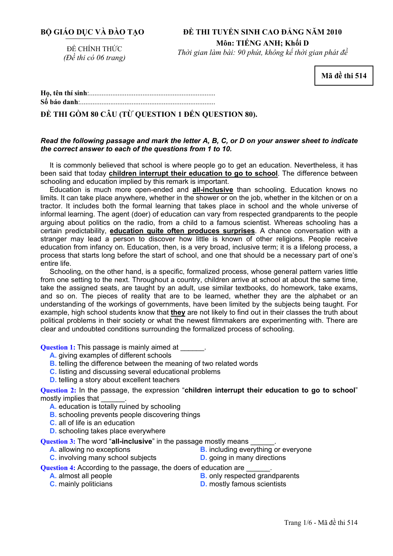# **BỘ GIÁO DỤC VÀ ĐÀO TẠO**

**ĐỀ THI TUYỂN SINH CAO ĐẲNG NĂM 2010 Môn: TIẾNG ANH; Khối D** 

ĐỀ CHÍNH THỨC *(Đề thi có 06 trang)* 

*Thời gian làm bài: 90 phút, không kể thời gian phát đề*

**Mã đề thi 514** 

**<sup>H</sup>ọ, tên thí sinh**:.......................................................................... **Số báo danh**:............................................................................

# **ĐỀ THI GỒM 80 CÂU (TỪ QUESTION 1 ĐẾN QUESTION 80).**

## *Read the following passage and mark the letter A, B, C, or D on your answer sheet to indicate the correct answer to each of the questions from 1 to 10.*

It is commonly believed that school is where people go to get an education. Nevertheless, it has been said that today **children interrupt their education to go to school**. The difference between schooling and education implied by this remark is important.

Education is much more open-ended and **all-inclusive** than schooling. Education knows no limits. It can take place anywhere, whether in the shower or on the job, whether in the kitchen or on a tractor. It includes both the formal learning that takes place in school and the whole universe of informal learning. The agent (doer) of education can vary from respected grandparents to the people arguing about politics on the radio, from a child to a famous scientist. Whereas schooling has a certain predictability, **education quite often produces surprises**. A chance conversation with a stranger may lead a person to discover how little is known of other religions. People receive education from infancy on. Education, then, is a very broad, inclusive term; it is a lifelong process, a process that starts long before the start of school, and one that should be a necessary part of one's entire life.

Schooling, on the other hand, is a specific, formalized process, whose general pattern varies little from one setting to the next. Throughout a country, children arrive at school at about the same time, take the assigned seats, are taught by an adult, use similar textbooks, do homework, take exams, and so on. The pieces of reality that are to be learned, whether they are the alphabet or an understanding of the workings of governments, have been limited by the subjects being taught. For example, high school students know that **they** are not likely to find out in their classes the truth about political problems in their society or what the newest filmmakers are experimenting with. There are clear and undoubted conditions surrounding the formalized process of schooling.

**Question 1:** This passage is mainly aimed at  $\qquad \qquad$ .

- **A.** giving examples of different schools
- **B.** telling the difference between the meaning of two related words
- **C.** listing and discussing several educational problems
- **D.** telling a story about excellent teachers

**Question 2:** In the passage, the expression "**children interrupt their education to go to school**" mostly implies that

- **A.** education is totally ruined by schooling
- **B.** schooling prevents people discovering things
- **C.** all of life is an education
- **D.** schooling takes place everywhere

**Question 3:** The word "all-inclusive" in the passage mostly means

- 
- **A.** allowing no exceptions **B.** including everything or everyone
- **C.** involving many school subjects **D.** going in many directions
- 

**Question 4:** According to the passage, the doers of education are

- 
- **A.** almost all people **B.** only respected grandparents
- **C.** mainly politicians **D. D.** mostly famous scientists
-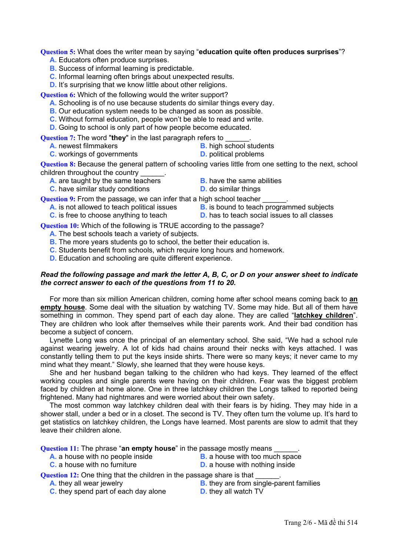**Question 5:** What does the writer mean by saying "**education quite often produces surprises**"?

- **A.** Educators often produce surprises.
- **B.** Success of informal learning is predictable.
- **C.** Informal learning often brings about unexpected results.
- **D.** It's surprising that we know little about other religions.

**Question 6:** Which of the following would the writer support?

- **A.** Schooling is of no use because students do similar things every day.
- **B.** Our education system needs to be changed as soon as possible.
- **C.** Without formal education, people won't be able to read and write.
- **D.** Going to school is only part of how people become educated.
- **Question 7:** The word "**they**" in the last paragraph refers to \_\_\_\_\_\_.
- 
- **B.** high school students
- **C.** workings of governments **D.** political problems

**Question 8:** Because the general pattern of schooling varies little from one setting to the next, school children throughout the country

- **A.** are taught by the same teachers **B.** have the same abilities
- **C.** have similar study conditions **D. D.** do similar things
- -

**Question 9:** From the passage, we can infer that a high school teacher

- **A.** is not allowed to teach political issues **B.** is bound to teach programmed subjects
- **C.** is free to choose anything to teach **D.** has to teach social issues to all classes

**Question 10:** Which of the following is TRUE according to the passage?

- **A.** The best schools teach a variety of subjects.
- **B.** The more years students go to school, the better their education is.
- **C.** Students benefit from schools, which require long hours and homework.
- **D.** Education and schooling are quite different experience.

## *Read the following passage and mark the letter A, B, C, or D on your answer sheet to indicate the correct answer to each of the questions from 11 to 20.*

For more than six million American children, coming home after school means coming back to **an empty house**. Some deal with the situation by watching TV. Some may hide. But all of them have something in common. They spend part of each day alone. They are called "**latchkey children**". They are children who look after themselves while their parents work. And their bad condition has become a subject of concern.

Lynette Long was once the principal of an elementary school. She said, "We had a school rule against wearing jewelry. A lot of kids had chains around their necks with keys attached. I was constantly telling them to put the keys inside shirts. There were so many keys; it never came to my mind what they meant." Slowly, she learned that they were house keys.

She and her husband began talking to the children who had keys. They learned of the effect working couples and single parents were having on their children. Fear was the biggest problem faced by children at home alone. One in three latchkey children the Longs talked to reported being frightened. Many had nightmares and were worried about their own safety.

The most common way latchkey children deal with their fears is by hiding. They may hide in a shower stall, under a bed or in a closet. The second is TV. They often turn the volume up. It's hard to get statistics on latchkey children, the Longs have learned. Most parents are slow to admit that they leave their children alone.

**Question 11:** The phrase "an empty house" in the passage mostly means

- **A.** a house with no people inside **B.** a house with too much space
- -
- 
- 
- **C.** a house with no furniture **D.** a house with nothing inside

**Question 12:** One thing that the children in the passage share is that

- **A.** they all wear jewelry **B.** they are from single-parent families
- **C.** they spend part of each day alone **D.** they all watch TV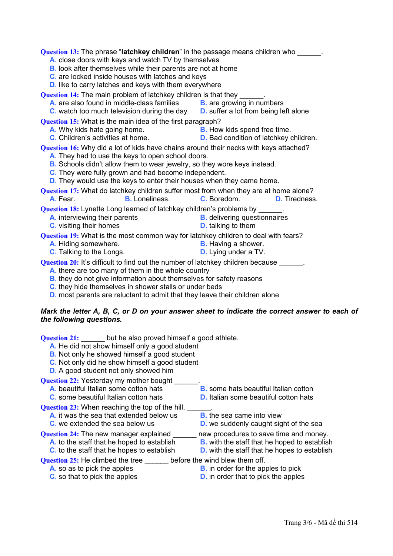**Question 13:** The phrase "**latchkey children**" in the passage means children who  $\blacksquare$ . **A.** close doors with keys and watch TV by themselves **B.** look after themselves while their parents are not at home **C.** are locked inside houses with latches and keys **D.** like to carry latches and keys with them everywhere **Question 14:** The main problem of latchkey children is that they \_\_\_\_\_\_.<br>**A.** are also found in middle-class families **B.** are growing in numbers **A.** are also found in middle-class families **C.** watch too much television during the day **D.** suffer a lot from being left alone **Question 15:** What is the main idea of the first paragraph? **A.** Why kids hate going home. **B.** How kids spend free time. **C.** Children's activities at home. **D.** Bad condition of latchkey children. **Question 16:** Why did a lot of kids have chains around their necks with keys attached? **A.** They had to use the keys to open school doors. **B.** Schools didn't allow them to wear jewelry, so they wore keys instead. **C.** They were fully grown and had become independent. **D.** They would use the keys to enter their houses when they came home. **Question 17:** What do latchkey children suffer most from when they are at home alone?<br>**A.** Fear. **B.** Loneliness. **C.** Boredom. **D.** Tiredness **A. Loneliness. C. Boredom. D. Tiredness. Question 18:** Lynette Long learned of latchkey children's problems by **A.** interviewing their parents **B.** delivering questionnaires **C.** visiting their homes **D.** talking to them **Question 19:** What is the most common way for latchkey children to deal with fears? **A.** Hiding somewhere. **B.** Having a shower. **C.** Talking to the Longs. **D.** Lying under a TV. **Question 20:** It's difficult to find out the number of latchkey children because \_\_\_\_\_\_. **A.** there are too many of them in the whole country **B.** they do not give information about themselves for safety reasons **C.** they hide themselves in shower stalls or under beds **D.** most parents are reluctant to admit that they leave their children alone

*Mark the letter A, B, C, or D on your answer sheet to indicate the correct answer to each of the following questions.* 

**Question 21:** \_\_\_\_\_\_ but he also proved himself a good athlete.

- **A.** He did not show himself only a good student
- **B.** Not only he showed himself a good student
- **C.** Not only did he show himself a good student
- **D.** A good student not only showed him
- **Question 22: Yesterday my mother bought** 
	- **A.** beautiful Italian some cotton hats **B.** some hats beautiful Italian cotton
	- **C.** some beautiful Italian cotton hats **D.** Italian some beautiful cotton hats
- **Question 23:** When reaching the top of the hill, \_\_\_\_\_\_\_.<br>A. it was the sea that extended below us **B.** the sea came into view
	- **A.** it was the sea that extended below us
	- **C.** we extended the sea below us **D.** we suddenly caught sight of the sea
- **Question 24:** The new manager explained \_\_\_\_\_\_ new procedures to save time and money.
	- **A.** to the staff that he hoped to establish **B.** with the staff that he hoped to establish
	- **C.** to the staff that he hopes to establish **D.** with the staff that he hopes to establish
- 
- 
- 
- -
- **Question 25:** He climbed the tree \_\_\_\_\_\_ before the wind blew them off.
	- -
- **A.** so as to pick the apples **B.** in order for the apples to pick **C**. so that to pick the apples **B. D.** in order that to pick the apples
	- **D.** in order that to pick the apples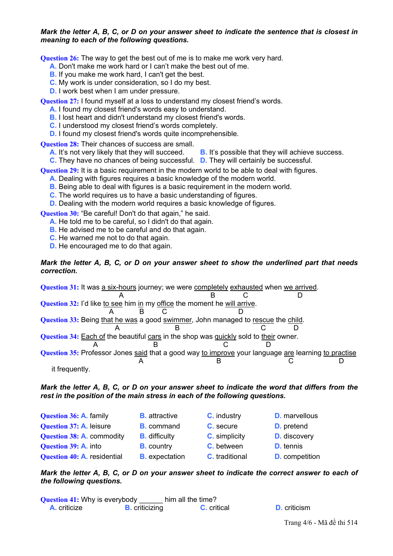# *Mark the letter A, B, C, or D on your answer sheet to indicate the sentence that is closest in meaning to each of the following questions.*

**Question 26:** The way to get the best out of me is to make me work very hard.

- **A.** Don't make me work hard or I can't make the best out of me.
- **B.** If you make me work hard, I can't get the best.
- **C.** My work is under consideration, so I do my best.
- **D.** I work best when I am under pressure.

**Question 27:** I found myself at a loss to understand my closest friend's words.

- **A.** I found my closest friend's words easy to understand.
- **B.** I lost heart and didn't understand my closest friend's words.
- **C.** I understood my closest friend's words completely.
- **D.** I found my closest friend's words quite incomprehensible.

**Question 28:** Their chances of success are small.

**A.** It's not very likely that they will succeed. **B.** It's possible that they will achieve success.

**C.** They have no chances of being successful. **D.** They will certainly be successful.

**Question 29:** It is a basic requirement in the modern world to be able to deal with figures.

**A.** Dealing with figures requires a basic knowledge of the modern world.

- **B.** Being able to deal with figures is a basic requirement in the modern world.
- **C.** The world requires us to have a basic understanding of figures.
- **D.** Dealing with the modern world requires a basic knowledge of figures.

**Question 30:** "Be careful! Don't do that again," he said.

- **A.** He told me to be careful, so I didn't do that again.
- **B.** He advised me to be careful and do that again.
- **C.** He warned me not to do that again.
- **D.** He encouraged me to do that again.

## *Mark the letter A, B, C, or D on your answer sheet to show the underlined part that needs correction.*



## *Mark the letter A, B, C, or D on your answer sheet to indicate the word that differs from the rest in the position of the main stress in each of the following questions.*

| Question 36: A. family           | <b>B.</b> attractive  | <b>C.</b> industry    | <b>D.</b> marvellous  |
|----------------------------------|-----------------------|-----------------------|-----------------------|
| <b>Question 37: A. leisure</b>   | <b>B.</b> command     | C. secure             | <b>D.</b> pretend     |
| <b>Question 38: A. commodity</b> | <b>B.</b> difficulty  | <b>C.</b> simplicity  | <b>D.</b> discovery   |
| Question 39: A. into             | <b>B.</b> country     | C. between            | <b>D.</b> tennis      |
| Question 40: A. residential      | <b>B.</b> expectation | <b>C.</b> traditional | <b>D.</b> competition |

*Mark the letter A, B, C, or D on your answer sheet to indicate the correct answer to each of the following questions.* 

**Question 41:** Why is everybody him all the time? **A.** criticize **B.** criticizing **C.** critical **D.** criticism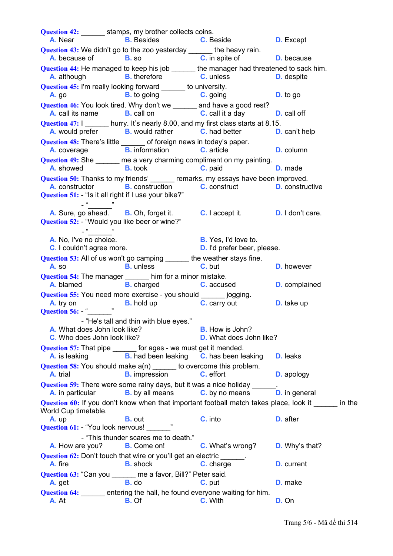**Question 42:** \_\_\_\_\_\_ stamps, my brother collects coins. **A.** Near **B.** Besides **C.** Beside **D.** Except **Question 43:** We didn't go to the zoo yesterday \_\_\_\_\_\_ the heavy rain. **A.** because of **B.** so **C.** in spite of **D.** because **Question 44:** He managed to keep his job \_\_\_\_\_\_\_ the manager had threatened to sack him. **A.** although **B.** therefore **C.** unless **D.** despite **Question 45:** I'm really looking forward \_\_\_\_\_\_ to university. **A.** go **B.** to going **C.** going **D.** to go **Question 46:** You look tired. Why don't we \_\_\_\_\_\_ and have a good rest? **A.** call its name **B.** call on **C.** call it a day **D.** call off **Question 47:** I \_\_\_\_\_\_ hurry. It's nearly 8.00, and my first class starts at 8.15. **A.** would prefer **B.** would rather **C.** had better **D.** can't help **Question 48:** There's little of foreign news in today's paper. **A.** coverage **B.** information **C.** article **D.** column **Question 49:** She \_\_\_\_\_\_ me a very charming compliment on my painting. **A.** showed **B.** took **C.** paid **D.** made **Question 50:** Thanks to my friends' remarks, my essays have been improved. **A. constructor B. construction <b>C.** construct **D.** constructive **Question 51:** - "Is it all right if I use your bike?"  $-$  " $-$ " **A.** Sure, go ahead. **B.** Oh, forget it. **C.** I accept it. **D.** I don't care. **Question 52:** - "Would you like beer or wine?"  $-\frac{u}{m}$ **A.** No. I've no choice. **B.** Yes. I'd love to. **C.** I couldn't agree more. **D.** I'd prefer beer, please. **Question 53:** All of us won't go camping \_\_\_\_\_\_ the weather stays fine. **A.** so **B.** unless **C.** but **D.** however **Question 54:** The manager him for a minor mistake.<br> **A.** blamed **B.** charged **C.** accused **A.** blamed **B.** charged **C.** accused **D.** complained **Question 55:** You need more exercise - you should \_\_\_\_\_\_ jogging.<br>**A.** trv on **B.** hold up **C.** carry out **A.** try on **B.** hold up **C.** carry out **D.** take up **Question 56:**  $-\frac{9}{2}$  =  $\frac{3}{2}$  - "He's tall and thin with blue eyes." **A.** What does John look like? **B.** How is John? **C.** Who does John look like? **D.** What does John like? **Question 57:** That pipe \_\_\_\_\_\_ for ages - we must get it mended. **A.** is leaking **B.** had been leaking **C.** has been leaking **D.** leaks **Question 58:** You should make a(n) \_\_\_\_\_\_ to overcome this problem. **A.** trial **B.** impression **C.** effort **D.** apology **Question 59:** There were some rainy days, but it was a nice holiday \_\_\_\_\_\_. **A.** in particular **B.** by all means **C.** by no means **D.** in general **Question 60:** If you don't know when that important football match takes place, look it \_\_\_\_\_\_ in the World Cup timetable. **A.** up **B.** out **C.** into **D.** after Question 61: - "You look nervous! \_\_\_\_\_\_\_" - "This thunder scares me to death." **A.** How are you? **B.** Come on! **C.** What's wrong? **D.** Why's that? **Question 62:** Don't touch that wire or you'll get an electric **A.** fire **B.** shock **C.** charge **D.** current **Question 63:** "Can you \_\_\_\_\_\_ me a favor, Bill?" Peter said. **A.** get **B.** do **C.** put **D.** make **Question 64:** \_\_\_\_\_\_ entering the hall, he found everyone waiting for him. **A.** At **B.** Of **C.** With **D.** On